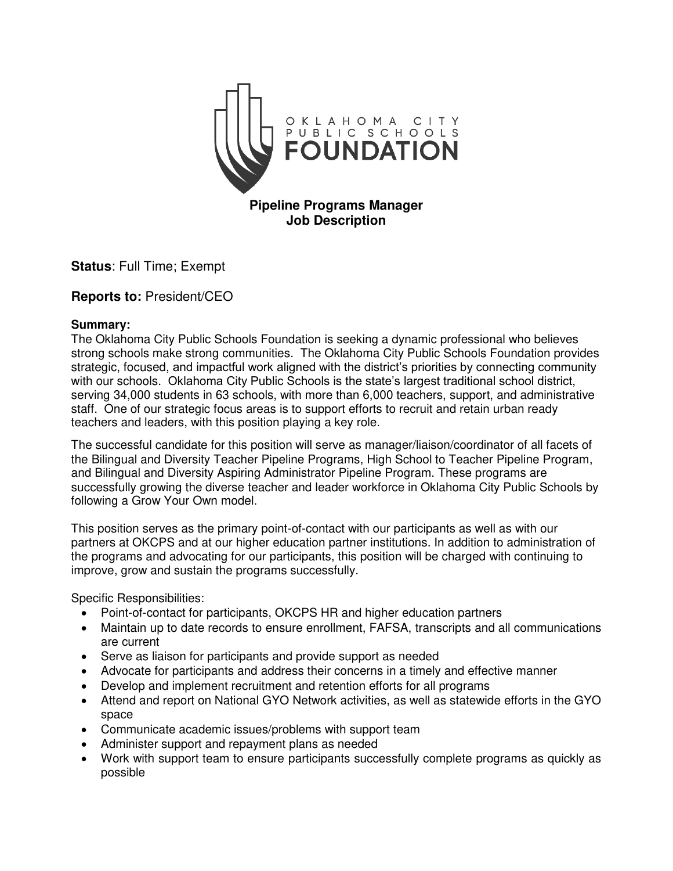

**Status**: Full Time; Exempt

# **Reports to:** President/CEO

#### **Summary:**

The Oklahoma City Public Schools Foundation is seeking a dynamic professional who believes strong schools make strong communities. The Oklahoma City Public Schools Foundation provides strategic, focused, and impactful work aligned with the district's priorities by connecting community with our schools. Oklahoma City Public Schools is the state's largest traditional school district, serving 34,000 students in 63 schools, with more than 6,000 teachers, support, and administrative staff. One of our strategic focus areas is to support efforts to recruit and retain urban ready teachers and leaders, with this position playing a key role.

The successful candidate for this position will serve as manager/liaison/coordinator of all facets of the Bilingual and Diversity Teacher Pipeline Programs, High School to Teacher Pipeline Program, and Bilingual and Diversity Aspiring Administrator Pipeline Program. These programs are successfully growing the diverse teacher and leader workforce in Oklahoma City Public Schools by following a Grow Your Own model.

This position serves as the primary point-of-contact with our participants as well as with our partners at OKCPS and at our higher education partner institutions. In addition to administration of the programs and advocating for our participants, this position will be charged with continuing to improve, grow and sustain the programs successfully.

Specific Responsibilities:

- Point-of-contact for participants, OKCPS HR and higher education partners
- Maintain up to date records to ensure enrollment, FAFSA, transcripts and all communications are current
- Serve as liaison for participants and provide support as needed
- Advocate for participants and address their concerns in a timely and effective manner
- Develop and implement recruitment and retention efforts for all programs
- Attend and report on National GYO Network activities, as well as statewide efforts in the GYO space
- Communicate academic issues/problems with support team
- Administer support and repayment plans as needed
- Work with support team to ensure participants successfully complete programs as quickly as possible